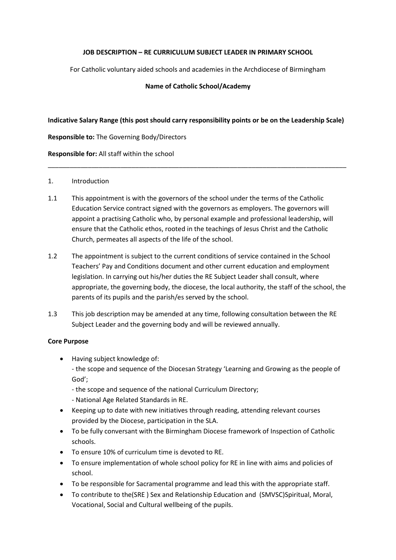### **JOB DESCRIPTION – RE CURRICULUM SUBJECT LEADER IN PRIMARY SCHOOL**

For Catholic voluntary aided schools and academies in the Archdiocese of Birmingham

### **Name of Catholic School/Academy**

### **Indicative Salary Range (this post should carry responsibility points or be on the Leadership Scale)**

\_\_\_\_\_\_\_\_\_\_\_\_\_\_\_\_\_\_\_\_\_\_\_\_\_\_\_\_\_\_\_\_\_\_\_\_\_\_\_\_\_\_\_\_\_\_\_\_\_\_\_\_\_\_\_\_\_\_\_\_\_\_\_\_\_\_\_\_\_\_\_\_\_\_\_\_\_\_\_\_\_\_

**Responsible to:** The Governing Body/Directors

**Responsible for:** All staff within the school

### 1. Introduction

- 1.1 This appointment is with the governors of the school under the terms of the Catholic Education Service contract signed with the governors as employers. The governors will appoint a practising Catholic who, by personal example and professional leadership, will ensure that the Catholic ethos, rooted in the teachings of Jesus Christ and the Catholic Church, permeates all aspects of the life of the school.
- 1.2 The appointment is subject to the current conditions of service contained in the School Teachers' Pay and Conditions document and other current education and employment legislation. In carrying out his/her duties the RE Subject Leader shall consult, where appropriate, the governing body, the diocese, the local authority, the staff of the school, the parents of its pupils and the parish/es served by the school.
- 1.3 This job description may be amended at any time, following consultation between the RE Subject Leader and the governing body and will be reviewed annually.

### **Core Purpose**

• Having subject knowledge of:

- the scope and sequence of the Diocesan Strategy 'Learning and Growing as the people of God';

- the scope and sequence of the national Curriculum Directory;
- National Age Related Standards in RE.
- Keeping up to date with new initiatives through reading, attending relevant courses provided by the Diocese, participation in the SLA.
- To be fully conversant with the Birmingham Diocese framework of Inspection of Catholic schools.
- To ensure 10% of curriculum time is devoted to RE.
- To ensure implementation of whole school policy for RE in line with aims and policies of school.
- To be responsible for Sacramental programme and lead this with the appropriate staff.
- To contribute to the (SRE) Sex and Relationship Education and (SMVSC) Spiritual, Moral, Vocational, Social and Cultural wellbeing of the pupils.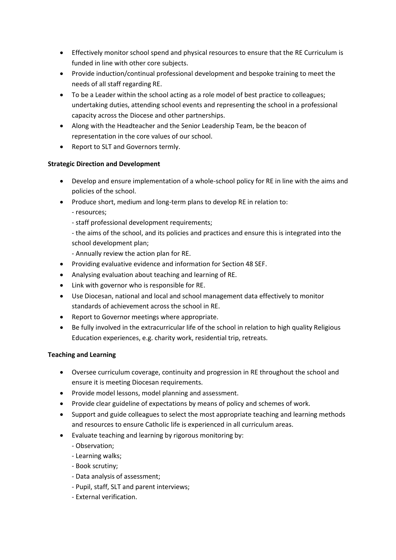- Effectively monitor school spend and physical resources to ensure that the RE Curriculum is funded in line with other core subjects.
- Provide induction/continual professional development and bespoke training to meet the needs of all staff regarding RE.
- To be a Leader within the school acting as a role model of best practice to colleagues; undertaking duties, attending school events and representing the school in a professional capacity across the Diocese and other partnerships.
- Along with the Headteacher and the Senior Leadership Team, be the beacon of representation in the core values of our school.
- Report to SLT and Governors termly.

## **Strategic Direction and Development**

- Develop and ensure implementation of a whole-school policy for RE in line with the aims and policies of the school.
- Produce short, medium and long-term plans to develop RE in relation to:
	- resources;
	- staff professional development requirements;
	- the aims of the school, and its policies and practices and ensure this is integrated into the school development plan;
	- Annually review the action plan for RE.
- Providing evaluative evidence and information for Section 48 SEF.
- Analysing evaluation about teaching and learning of RE.
- Link with governor who is responsible for RE.
- Use Diocesan, national and local and school management data effectively to monitor standards of achievement across the school in RE.
- Report to Governor meetings where appropriate.
- Be fully involved in the extracurricular life of the school in relation to high quality Religious Education experiences, e.g. charity work, residential trip, retreats.

# **Teaching and Learning**

- Oversee curriculum coverage, continuity and progression in RE throughout the school and ensure it is meeting Diocesan requirements.
- Provide model lessons, model planning and assessment.
- Provide clear guideline of expectations by means of policy and schemes of work.
- Support and guide colleagues to select the most appropriate teaching and learning methods and resources to ensure Catholic life is experienced in all curriculum areas.
- Evaluate teaching and learning by rigorous monitoring by:
	- Observation;
	- Learning walks;
	- Book scrutiny;
	- Data analysis of assessment;
	- Pupil, staff, SLT and parent interviews;
	- External verification.